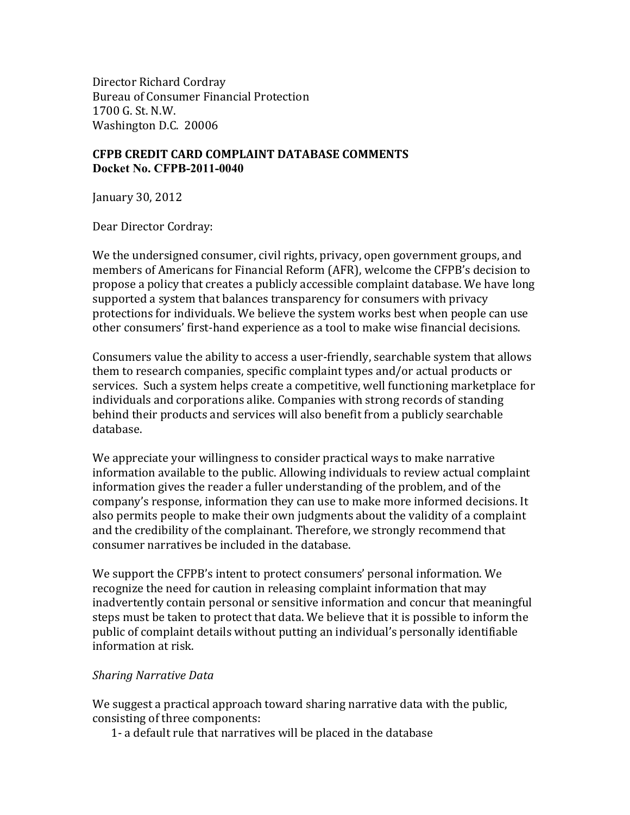Director Richard Cordray Bureau of Consumer Financial Protection  $1700$  G. St. N.W. Washington D.C. 20006

## **CFPB CREDIT CARD COMPLAINT DATABASE COMMENTS Docket No. CFPB-2011-0040**

January 30, 2012

Dear Director Cordray:

We the undersigned consumer, civil rights, privacy, open government groups, and members of Americans for Financial Reform (AFR), welcome the CFPB's decision to propose a policy that creates a publicly accessible complaint database. We have long supported a system that balances transparency for consumers with privacy protections for individuals. We believe the system works best when people can use other consumers' first-hand experience as a tool to make wise financial decisions.

Consumers value the ability to access a user-friendly, searchable system that allows them to research companies, specific complaint types and/or actual products or services. Such a system helps create a competitive, well functioning marketplace for individuals and corporations alike. Companies with strong records of standing behind their products and services will also benefit from a publicly searchable database.(

We appreciate your willingness to consider practical ways to make narrative information available to the public. Allowing individuals to review actual complaint information gives the reader a fuller understanding of the problem, and of the company's response, information they can use to make more informed decisions. It also permits people to make their own judgments about the validity of a complaint and the credibility of the complainant. Therefore, we strongly recommend that consumer narratives be included in the database.

We support the CFPB's intent to protect consumers' personal information. We recognize the need for caution in releasing complaint information that may inadvertently contain personal or sensitive information and concur that meaningful steps must be taken to protect that data. We believe that it is possible to inform the public of complaint details without putting an individual's personally identifiable information at risk.

## **Sharing Narrative Data**

We suggest a practical approach toward sharing narrative data with the public, consisting of three components:

1- a default rule that narratives will be placed in the database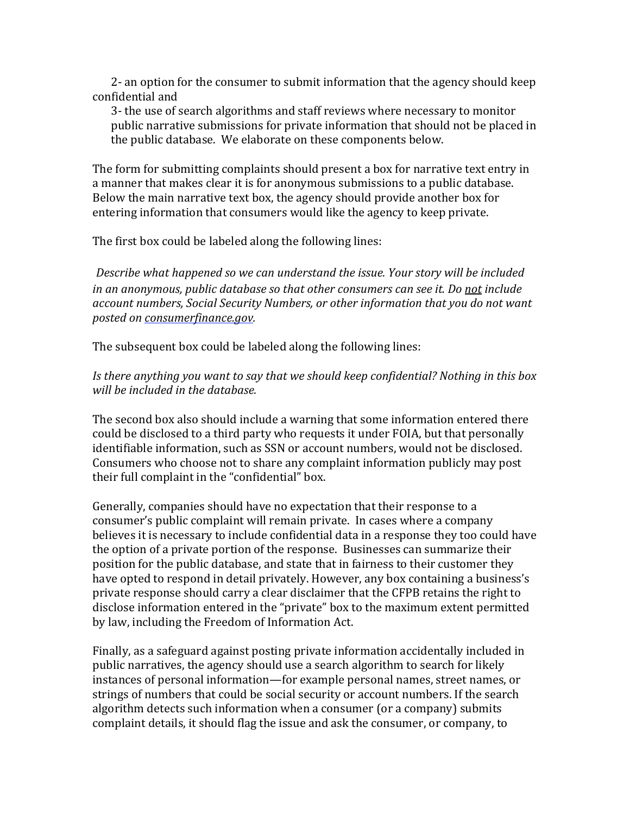2- an option for the consumer to submit information that the agency should keep confidential and

3- the use of search algorithms and staff reviews where necessary to monitor public narrative submissions for private information that should not be placed in the public database. We elaborate on these components below.

The form for submitting complaints should present a box for narrative text entry in a manner that makes clear it is for anonymous submissions to a public database. Below the main narrative text box, the agency should provide another box for entering information that consumers would like the agency to keep private.

The first box could be labeled along the following lines:

*Describe what happened so we can understand the issue. Your story will be included* in an anonymous, public database so that other consumers can see it. Do not include *account(numbers,(Social(Security(Numbers,(or(other(information(that(you(do(not(want( posted(on consumerfinance.gov.*

The subsequent box could be labeled along the following lines:

Is there anything you want to say that we should keep confidential? Nothing in this box *will be included in the database.* 

The second box also should include a warning that some information entered there could be disclosed to a third party who requests it under FOIA, but that personally identifiable information, such as SSN or account numbers, would not be disclosed. Consumers who choose not to share any complaint information publicly may post their full complaint in the "confidential" box.

Generally, companies should have no expectation that their response to a consumer's public complaint will remain private. In cases where a company believes it is necessary to include confidential data in a response they too could have the option of a private portion of the response. Businesses can summarize their position for the public database, and state that in fairness to their customer they have opted to respond in detail privately. However, any box containing a business's private response should carry a clear disclaimer that the CFPB retains the right to disclose information entered in the "private" box to the maximum extent permitted by law, including the Freedom of Information Act.

Finally, as a safeguard against posting private information accidentally included in public narratives, the agency should use a search algorithm to search for likely instances of personal information—for example personal names, street names, or strings of numbers that could be social security or account numbers. If the search algorithm detects such information when a consumer (or a company) submits complaint details, it should flag the issue and ask the consumer, or company, to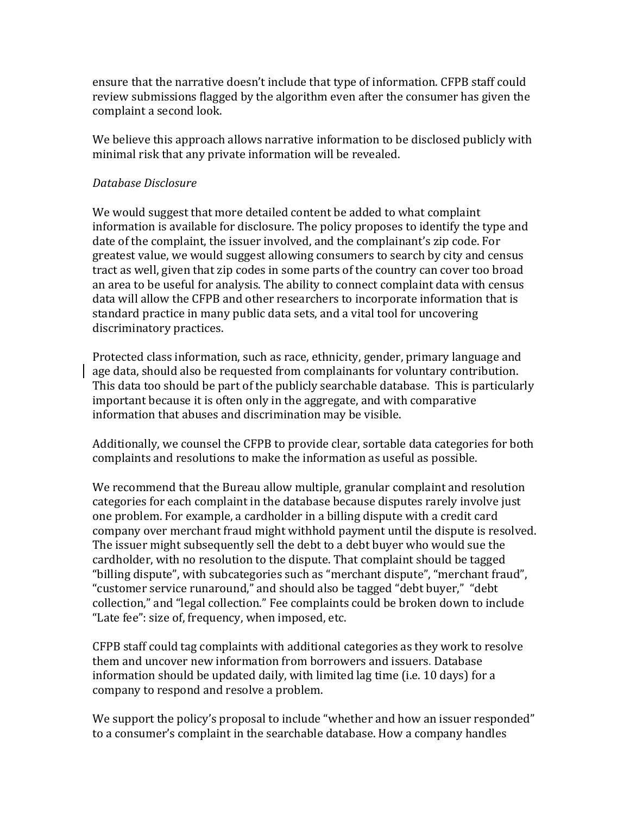ensure that the narrative doesn't include that type of information. CFPB staff could review submissions flagged by the algorithm even after the consumer has given the complaint a second look.

We believe this approach allows narrative information to be disclosed publicly with minimal risk that any private information will be revealed.

## *Database(Disclosure*

We would suggest that more detailed content be added to what complaint information is available for disclosure. The policy proposes to identify the type and date of the complaint, the issuer involved, and the complainant's zip code. For greatest value, we would suggest allowing consumers to search by city and census tract as well, given that zip codes in some parts of the country can cover too broad an area to be useful for analysis. The ability to connect complaint data with census data will allow the CFPB and other researchers to incorporate information that is standard practice in many public data sets, and a vital tool for uncovering discriminatory practices.

Protected class information, such as race, ethnicity, gender, primary language and age data, should also be requested from complainants for voluntary contribution. This data too should be part of the publicly searchable database. This is particularly important because it is often only in the aggregate, and with comparative information that abuses and discrimination may be visible.

Additionally, we counsel the CFPB to provide clear, sortable data categories for both complaints and resolutions to make the information as useful as possible.

We recommend that the Bureau allow multiple, granular complaint and resolution categories for each complaint in the database because disputes rarely involve just one problem. For example, a cardholder in a billing dispute with a credit card company over merchant fraud might withhold payment until the dispute is resolved. The issuer might subsequently sell the debt to a debt buyer who would sue the cardholder, with no resolution to the dispute. That complaint should be tagged "billing dispute", with subcategories such as "merchant dispute", "merchant fraud", "customer service runaround," and should also be tagged "debt buyer," "debt collection," and "legal collection." Fee complaints could be broken down to include "Late fee": size of, frequency, when imposed, etc.

CFPB staff could tag complaints with additional categories as they work to resolve them and uncover new information from borrowers and issuers. Database information should be updated daily, with limited lag time (i.e. 10 days) for a company to respond and resolve a problem.

We support the policy's proposal to include "whether and how an issuer responded" to a consumer's complaint in the searchable database. How a company handles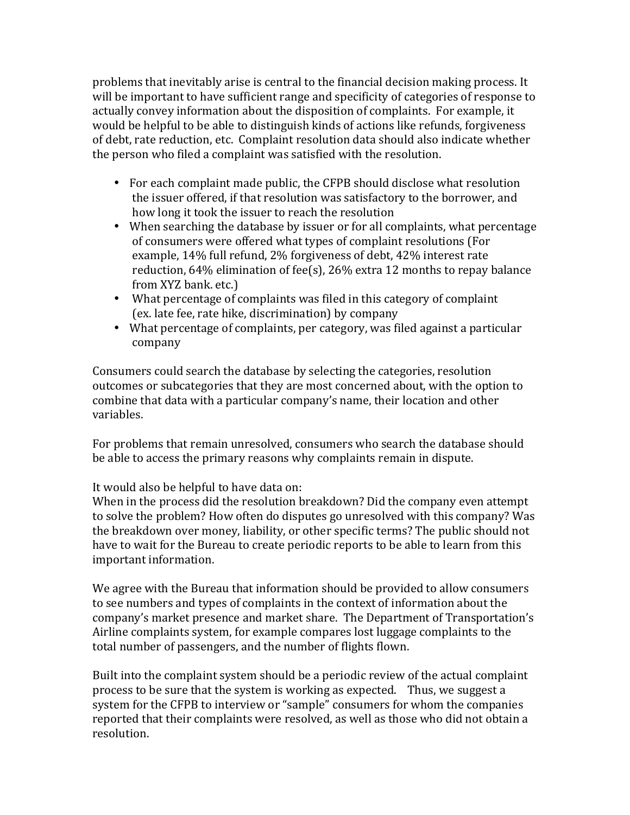problems that inevitably arise is central to the financial decision making process. It will be important to have sufficient range and specificity of categories of response to actually convey information about the disposition of complaints. For example, it would be helpful to be able to distinguish kinds of actions like refunds, forgiveness of debt, rate reduction, etc. Complaint resolution data should also indicate whether the person who filed a complaint was satisfied with the resolution.

- For each complaint made public, the CFPB should disclose what resolution the issuer offered, if that resolution was satisfactory to the borrower, and how long it took the issuer to reach the resolution
- When searching the database by issuer or for all complaints, what percentage of consumers were offered what types of complaint resolutions (For example,  $14\%$  full refund, 2% forgiveness of debt,  $42\%$  interest rate reduction, 64% elimination of fee(s), 26% extra 12 months to repay balance from XYZ bank. etc.)
- What percentage of complaints was filed in this category of complaint (ex. late fee, rate hike, discrimination) by company
- What percentage of complaints, per category, was filed against a particular company

Consumers could search the database by selecting the categories, resolution outcomes or subcategories that they are most concerned about, with the option to combine that data with a particular company's name, their location and other variables.

For problems that remain unresolved, consumers who search the database should be able to access the primary reasons why complaints remain in dispute.

It would also be helpful to have data on:

When in the process did the resolution breakdown? Did the company even attempt to solve the problem? How often do disputes go unresolved with this company? Was the breakdown over money, liability, or other specific terms? The public should not have to wait for the Bureau to create periodic reports to be able to learn from this important information.

We agree with the Bureau that information should be provided to allow consumers to see numbers and types of complaints in the context of information about the company's market presence and market share. The Department of Transportation's Airline complaints system, for example compares lost luggage complaints to the total number of passengers, and the number of flights flown.

Built into the complaint system should be a periodic review of the actual complaint process to be sure that the system is working as expected. Thus, we suggest a system for the CFPB to interview or "sample" consumers for whom the companies reported that their complaints were resolved, as well as those who did not obtain a resolution.